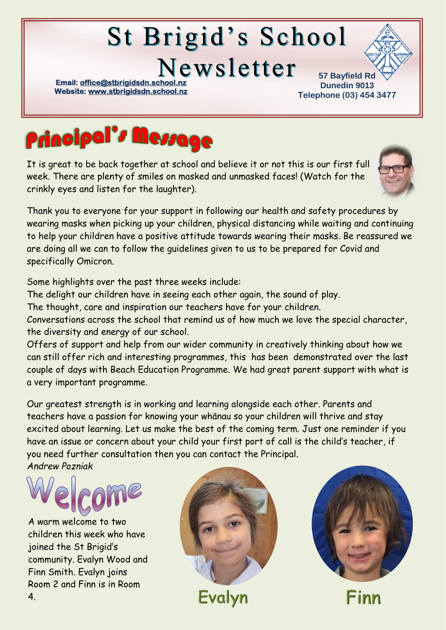# **St Brigid's School**

Newsletter

**Email: office@stbrigidsdn.school Website[: www.stbrigidsdn.school.nz](http://www.stbrigidsdn.school.nz/)** 

**57 Bayfield Rd Dunedin 9013 Telephone (03) 454 3477** 



It is great to be back together at school and believe it or not this is our first full week. There are plenty of smiles on masked and unmasked faces! (Watch for the crinkly eyes and listen for the laughter).



Thank you to everyone for your support in following our health and safety procedures by wearing masks when picking up your children, physical distancing while waiting and continuing to help your children have a positive attitude towards wearing their masks. Be reassured we are doing all we can to follow the guidelines given to us to be prepared for Covid and specifically Omicron.

Some highlights over the past three weeks include:

The delight our children have in seeing each other again, the sound of play.

The thought, care and inspiration our teachers have for your children.

Conversations across the school that remind us of how much we love the special character, the diversity and energy of our school.

Offers of support and help from our wider community in creatively thinking about how we can still offer rich and interesting programmes, this has been demonstrated over the last couple of days with Beach Education Programme. We had great parent support with what is a very important programme.

Our greatest strength is in working and learning alongside each other. Parents and teachers have a passion for knowing your whānau so your children will thrive and stay excited about learning. Let us make the best of the coming term. Just one reminder if you have an issue or concern about your child your first port of call is the child's teacher, if you need further consultation then you can contact the Principal.

*Andrew Pozniak*



A warm welcome to two children this week who have joined the St Brigid's community. Evalyn Wood and Finn Smith. Evalyn joins Room 2 and Finn is in Room 4.



Evalyn



Finr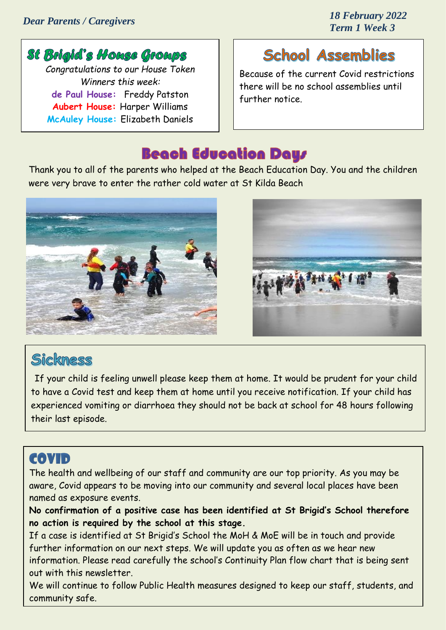#### *Dear Parents / Caregivers*

*18 February 2022 Term 1 Week 3*

#### St Brigid's House Groups *Congratulations to our House Token Winners this week:* **de Paul House:** Freddy Patston **Aubert House:** Harper Williams **McAuley House:** Elizabeth Daniels

## **School Assemblies**

Because of the current Covid restrictions there will be no school assemblies until further notice.

### **Beach Education Days**

Thank you to all of the parents who helped at the Beach Education Day. You and the children were very brave to enter the rather cold water at St Kilda Beach





#### Sickness

If your child is feeling unwell please keep them at home. It would be prudent for your child to have a Covid test and keep them at home until you receive notification. If your child has experienced vomiting or diarrhoea they should not be back at school for 48 hours following their last episode.

## **COVID**

The health and wellbeing of our staff and community are our top priority. As you may be aware, Covid appears to be moving into our community and several local places have been named as exposure events.

**No confirmation of a positive case has been identified at St Brigid's School therefore no action is required by the school at this stage.** 

If a case is identified at St Brigid's School the MoH & MoE will be in touch and provide further information on our next steps. We will update you as often as we hear new information. Please read carefully the school's Continuity Plan flow chart that is being sent out with this newsletter.

We will continue to follow Public Health measures designed to keep our staff, students, and community safe.